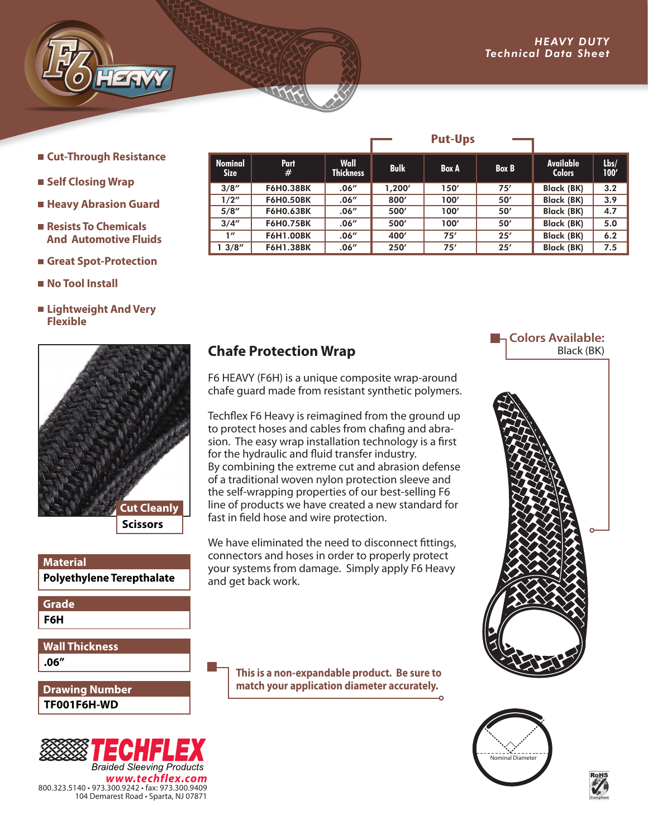**Cut-Through Resistance** 

*ADVANCED ENGINEERING*  $T$ ev $Z$   $\overline{\phantom{X}}$ 

- **Self Closing Wrap**
- **Heavy Abrasion Guard**
- Resists To Chemicals  **And Automotive Fluids**
- **Great Spot-Protection**
- **No Tool Install**
- **Lightweight And Very Flexible**



## **Polyethylene Terepthalate Material**

**F6H Grade**

**.06" Wall Thickness**

**TF001F6H-WD Drawing Number**



|                               |                  |                          |             | I UL-UPS     |              |                                   |              |
|-------------------------------|------------------|--------------------------|-------------|--------------|--------------|-----------------------------------|--------------|
| <b>Nominal</b><br><b>Size</b> | <b>Part</b><br># | Wall<br><b>Thickness</b> | <b>Bulk</b> | <b>Box A</b> | <b>Box B</b> | <b>Available</b><br><b>Colors</b> | Lbs/<br>100' |
| 3/8''                         | <b>F6H0.38BK</b> | .06''                    | 1,200'      | 150'         | 75'          | <b>Black (BK)</b>                 | 3.2          |
| 1/2"                          | <b>F6H0.50BK</b> | .06''                    | 800'        | 100'         | 50'          | Black (BK)                        | 3.9          |
| 5/8''                         | <b>F6H0.63BK</b> | .06''                    | 500'        | 100'         | 50'          | Black (BK)                        | 4.7          |
| 3/4''                         | <b>F6H0.75BK</b> | .06''                    | 500'        | 100'         | 50'          | Black (BK)                        | 5.0          |
| 1''                           | <b>F6H1.00BK</b> | .06''                    | 400'        | 75'          | 25'          | Black (BK)                        | 6.2          |
| 13/8''                        | <b>F6H1.38BK</b> | .06''                    | 250'        | 75'          | 25'          | <b>Black (BK)</b>                 | 7.5          |

**Put-Ups**

## **Chafe Protection Wrap**

F6 HEAVY (F6H) is a unique composite wrap-around chafe guard made from resistant synthetic polymers.

Techflex F6 Heavy is reimagined from the ground up to protect hoses and cables from chafing and abrasion. The easy wrap installation technology is a first for the hydraulic and fluid transfer industry. By combining the extreme cut and abrasion defense of a traditional woven nylon protection sleeve and the self-wrapping properties of our best-selling F6 line of products we have created a new standard for fast in field hose and wire protection.

We have eliminated the need to disconnect fittings, connectors and hoses in order to properly protect your systems from damage. Simply apply F6 Heavy and get back work.

> **This is a non-expandable product. Be sure to match your application diameter accurately.**

## **La Colors Available:** Black (BK)